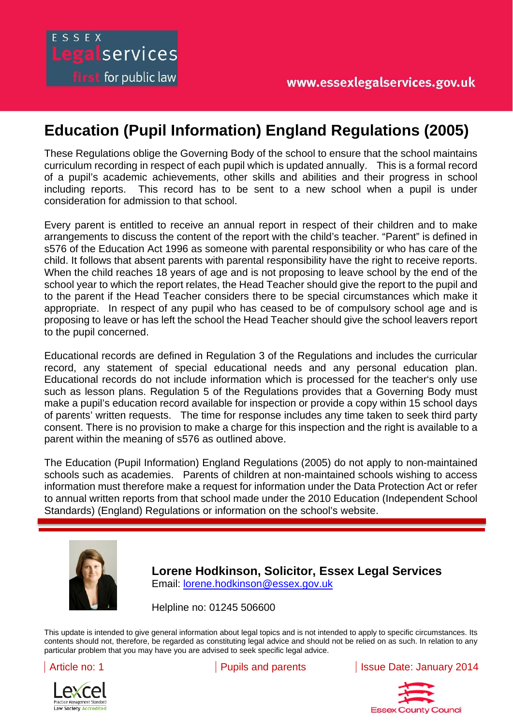## **Education (Pupil Information) England Regulations (2005)**

These Regulations oblige the Governing Body of the school to ensure that the school maintains curriculum recording in respect of each pupil which is updated annually. This is a formal record of a pupil's academic achievements, other skills and abilities and their progress in school including reports. This record has to be sent to a new school when a pupil is under consideration for admission to that school.

Every parent is entitled to receive an annual report in respect of their children and to make arrangements to discuss the content of the report with the child's teacher. "Parent" is defined in s576 of the Education Act 1996 as someone with parental responsibility or who has care of the child. It follows that absent parents with parental responsibility have the right to receive reports. When the child reaches 18 years of age and is not proposing to leave school by the end of the school year to which the report relates, the Head Teacher should give the report to the pupil and to the parent if the Head Teacher considers there to be special circumstances which make it appropriate. In respect of any pupil who has ceased to be of compulsory school age and is proposing to leave or has left the school the Head Teacher should give the school leavers report to the pupil concerned.

Educational records are defined in Regulation 3 of the Regulations and includes the curricular record, any statement of special educational needs and any personal education plan. Educational records do not include information which is processed for the teacher's only use such as lesson plans. Regulation 5 of the Regulations provides that a Governing Body must make a pupil's education record available for inspection or provide a copy within 15 school days of parents' written requests. The time for response includes any time taken to seek third party consent. There is no provision to make a charge for this inspection and the right is available to a parent within the meaning of s576 as outlined above.

to annual written reports from that school made under the 2010 Education (Independent School Standards) (England) Regulations or information on the school's website. The Education (Pupil Information) England Regulations (2005) do not apply to non-maintained schools such as academies. Parents of children at non-maintained schools wishing to access information must therefore make a request for information under the Data Protection Act or refer

constituting legal advice and should not be relied on as such. In relation to any particular problem that



ESSEX

Legalservices

**first** for public law

**Lorene Hodkinson, Solicitor, Essex Legal Services**  Email: lorene.hodkinson@essex.gov.uk

Helpline no: 01245 506600

This update is intended to give general information about legal topics and is not intended to apply to specific circumstances. Its contents should not, therefore, be regarded as constituting legal advice and should not be relied on as such. In relation to any particular problem that you may have you are advised to seek specific legal advice.



Article no: 1 **Pupils and parents** Issue Date: January 2014

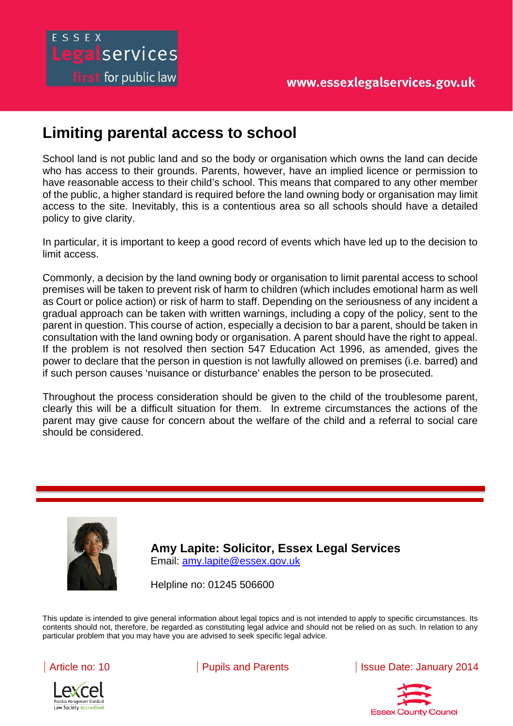## ESSEX Legalservices **first** for public law

## **Limiting parental access to school**

School land is not public land and so the body or organisation which owns the land can decide who has access to their grounds. Parents, however, have an implied licence or permission to have reasonable access to their child's school. This means that compared to any other member of the public, a higher standard is required before the land owning body or organisation may limit access to the site. Inevitably, this is a contentious area so all schools should have a detailed policy to give clarity.

In particular, it is important to keep a good record of events which have led up to the decision to limit access.

Commonly, a decision by the land owning body or organisation to limit parental access to school premises will be taken to prevent risk of harm to children (which includes emotional harm as well as Court or police action) or risk of harm to staff. Depending on the seriousness of any incident a gradual approach can be taken with written warnings, including a copy of the policy, sent to the parent in question. This course of action, especially a decision to bar a parent, should be taken in consultation with the land owning body or organisation. A parent should have the right to appeal. If the problem is not resolved then section 547 Education Act 1996, as amended, gives the power to declare that the person in question is not lawfully allowed on premises (i.e. barred) and if such person causes 'nuisance or disturbance' enables the person to be prosecuted.

Throughout the process consideration should be given to the child of the troublesome parent, clearly this will be a difficult situation for them. In extreme circumstances the actions of the parent may give cause for concern about the welfare of the child and a referral to social care should be considered.



**Amy Lapite: Solicitor, Essex Legal Services**  Email: amy.lapite@essex.gov.uk

Helpline no: 01245 506600

intended to give general information about legal topics and

This update is intended to give general information about legal topics and is not intended to apply to specific circumstances. Its contents should not, therefore, be regarded as constituting legal advice and should not be relied on as such. In relation to any particular problem that you may have you are advised to seek specific legal advice.





Article no: 10 | Pupils and Parents | Issue Date: January 2014

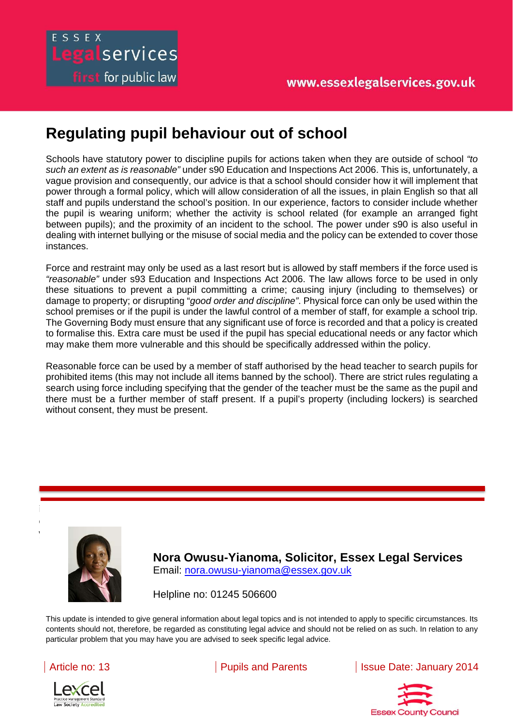## **Regulating pupil behaviour out of school**

egalservices

**first** for public law

Schools have statutory power to discipline pupils for actions taken when they are outside of school *"to such an extent as is reasonable"* under s90 Education and Inspections Act 2006. This is, unfortunately, a vague provision and consequently, our advice is that a school should consider how it will implement that power through a formal policy, which will allow consideration of all the issues, in plain English so that all staff and pupils understand the school's position. In our experience, factors to consider include whether the pupil is wearing uniform; whether the activity is school related (for example an arranged fight between pupils); and the proximity of an incident to the school. The power under s90 is also useful in dealing with internet bullying or the misuse of social media and the policy can be extended to cover those instances.

Force and restraint may only be used as a last resort but is allowed by staff members if the force used is *"reasonable"* under s93 Education and Inspections Act 2006. The law allows force to be used in only these situations to prevent a pupil committing a crime; causing injury (including to themselves) or damage to property; or disrupting "*good order and discipline"*. Physical force can only be used within the school premises or if the pupil is under the lawful control of a member of staff, for example a school trip. The Governing Body must ensure that any significant use of force is recorded and that a policy is created to formalise this. Extra care must be used if the pupil has special educational needs or any factor which may make them more vulnerable and this should be specifically addressed within the policy.

Reasonable force can be used by a member of staff authorised by the head teacher to search pupils for prohibited items (this may not include all items banned by the school). There are strict rules regulating a search using force including specifying that the gender of the teacher must be the same as the pupil and there must be a further member of staff present. If a pupil's property (including lockers) is searched without consent, they must be present.



**Nora Owusu-Yianoma, Solicitor, Essex Legal Services**  Email: nora.owusu-yianoma@essex.gov.uk

Helpline no: 01245 506600

intended to give general information about legal topics and

This update is intended to give general information about legal topics and is not intended to apply to specific circumstances. Its contents should not, therefore, be regarded as constituting legal advice and should not be relied on as such. In relation to any particular problem that you may have you are advised to seek specific legal advice.





Article no: 13 **Pupils and Parents** Issue Date: January 2014

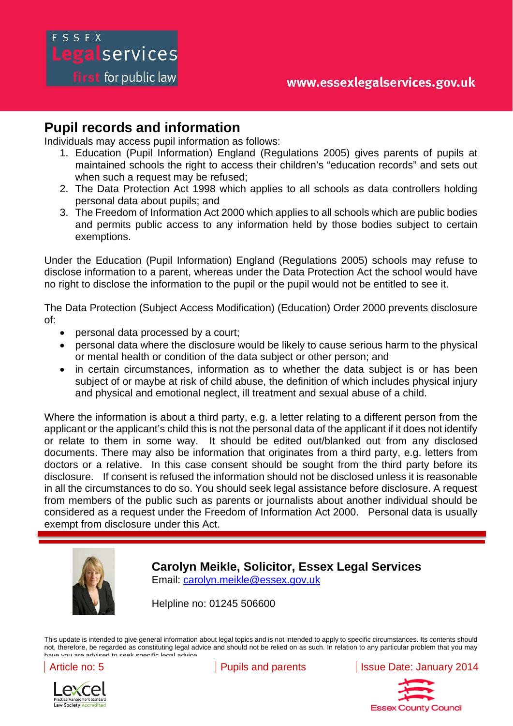## ESSEX Legalservices

first for public law

#### **Pupil records and information**

Individuals may access pupil information as follows:

- 1. Education (Pupil Information) England (Regulations 2005) gives parents of pupils at maintained schools the right to access their children's "education records" and sets out when such a request may be refused:
- 2. The Data Protection Act 1998 which applies to all schools as data controllers holding personal data about pupils; and
- 3. The Freedom of Information Act 2000 which applies to all schools which are public bodies and permits public access to any information held by those bodies subject to certain exemptions.

Under the Education (Pupil Information) England (Regulations 2005) schools may refuse to disclose information to a parent, whereas under the Data Protection Act the school would have no right to disclose the information to the pupil or the pupil would not be entitled to see it.

The Data Protection (Subject Access Modification) (Education) Order 2000 prevents disclosure of:

- personal data processed by a court;
- personal data where the disclosure would be likely to cause serious harm to the physical or mental health or condition of the data subject or other person; and
- in certain circumstances, information as to whether the data subject is or has been subject of or maybe at risk of child abuse, the definition of which includes physical injury and physical and emotional neglect, ill treatment and sexual abuse of a child.

from members of the public such as parents or journalists about another individual should be considered as a request under the Freedom of Information Act 2000. Personal data is usually exempt from disclosure under this Act. you may have you are advised to seek specific legal advice. Where the information is about a third party, e.g. a letter relating to a different person from the applicant or the applicant's child this is not the personal data of the applicant if it does not identify or relate to them in some way. It should be edited out/blanked out from any disclosed documents. There may also be information that originates from a third party, e.g. letters from doctors or a relative. In this case consent should be sought from the third party before its disclosure. If consent is refused the information should not be disclosed unless it is reasonable in all the circumstances to do so. You should seek legal assistance before disclosure. A request



**Carolyn Meikle, Solicitor, Essex Legal Services**  Email: carolyn.meikle@essex.gov.uk

Helpline no: 01245 506600

This update is intended to give general information about legal topics and is not intended to apply to specific circumstances. Its contents should not, therefore, be regarded as constituting legal advice and should not be relied on as such. In relation to any particular problem that you may have you are advised to seek specific legal advice

Law Society Accred

Article no: 5 **Pupils and parents** Issue Date: January 2014